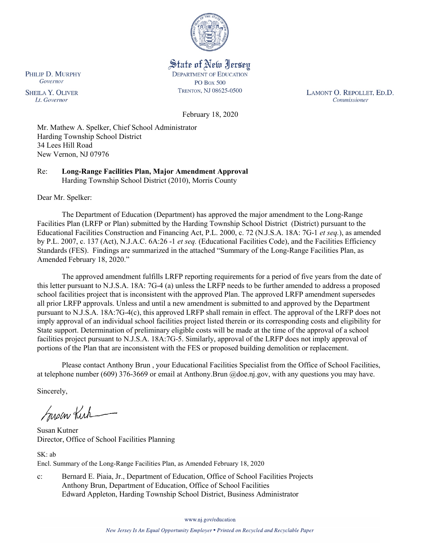

State of New Jersey **DEPARTMENT OF EDUCATION PO Box 500** TRENTON, NJ 08625-0500

LAMONT O. REPOLLET, ED.D. Commissioner

February 18, 2020

Mr. Mathew A. Spelker, Chief School Administrator Harding Township School District 34 Lees Hill Road New Vernon, NJ 07976

Re: **Long-Range Facilities Plan, Major Amendment Approval** Harding Township School District (2010), Morris County

Dear Mr. Spelker:

The Department of Education (Department) has approved the major amendment to the Long-Range Facilities Plan (LRFP or Plan) submitted by the Harding Township School District (District) pursuant to the Educational Facilities Construction and Financing Act, P.L. 2000, c. 72 (N.J.S.A. 18A: 7G-1 *et seq.*), as amended by P.L. 2007, c. 137 (Act), N.J.A.C. 6A:26 -1 *et seq.* (Educational Facilities Code), and the Facilities Efficiency Standards (FES). Findings are summarized in the attached "Summary of the Long-Range Facilities Plan, as Amended February 18, 2020."

The approved amendment fulfills LRFP reporting requirements for a period of five years from the date of this letter pursuant to N.J.S.A. 18A: 7G-4 (a) unless the LRFP needs to be further amended to address a proposed school facilities project that is inconsistent with the approved Plan. The approved LRFP amendment supersedes all prior LRFP approvals. Unless and until a new amendment is submitted to and approved by the Department pursuant to N.J.S.A. 18A:7G-4(c), this approved LRFP shall remain in effect. The approval of the LRFP does not imply approval of an individual school facilities project listed therein or its corresponding costs and eligibility for State support. Determination of preliminary eligible costs will be made at the time of the approval of a school facilities project pursuant to N.J.S.A. 18A:7G-5. Similarly, approval of the LRFP does not imply approval of portions of the Plan that are inconsistent with the FES or proposed building demolition or replacement.

Please contact Anthony Brun , your Educational Facilities Specialist from the Office of School Facilities, at telephone number (609) 376-3669 or email at Anthony.Brun @doe.nj.gov, with any questions you may have.

Sincerely,

Susan Kich

Susan Kutner Director, Office of School Facilities Planning

SK: ab Encl. Summary of the Long-Range Facilities Plan, as Amended February 18, 2020

c: Bernard E. Piaia, Jr., Department of Education, Office of School Facilities Projects Anthony Brun, Department of Education, Office of School Facilities Edward Appleton, Harding Township School District, Business Administrator

www.nj.gov/education

PHILIP D. MURPHY Governor

**SHEILA Y. OLIVER** Lt. Governor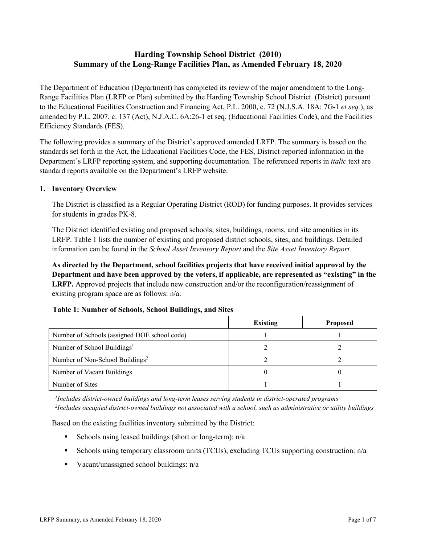# **Harding Township School District (2010) Summary of the Long-Range Facilities Plan, as Amended February 18, 2020**

The Department of Education (Department) has completed its review of the major amendment to the Long-Range Facilities Plan (LRFP or Plan) submitted by the Harding Township School District (District) pursuant to the Educational Facilities Construction and Financing Act, P.L. 2000, c. 72 (N.J.S.A. 18A: 7G-1 *et seq.*), as amended by P.L. 2007, c. 137 (Act), N.J.A.C. 6A:26-1 et seq. (Educational Facilities Code), and the Facilities Efficiency Standards (FES).

The following provides a summary of the District's approved amended LRFP. The summary is based on the standards set forth in the Act, the Educational Facilities Code, the FES, District-reported information in the Department's LRFP reporting system, and supporting documentation. The referenced reports in *italic* text are standard reports available on the Department's LRFP website.

#### **1. Inventory Overview**

The District is classified as a Regular Operating District (ROD) for funding purposes. It provides services for students in grades PK-8.

The District identified existing and proposed schools, sites, buildings, rooms, and site amenities in its LRFP. Table 1 lists the number of existing and proposed district schools, sites, and buildings. Detailed information can be found in the *School Asset Inventory Report* and the *Site Asset Inventory Report.*

**As directed by the Department, school facilities projects that have received initial approval by the Department and have been approved by the voters, if applicable, are represented as "existing" in the LRFP.** Approved projects that include new construction and/or the reconfiguration/reassignment of existing program space are as follows: n/a.

#### **Table 1: Number of Schools, School Buildings, and Sites**

|                                              | <b>Existing</b> | <b>Proposed</b> |
|----------------------------------------------|-----------------|-----------------|
| Number of Schools (assigned DOE school code) |                 |                 |
| Number of School Buildings <sup>1</sup>      |                 |                 |
| Number of Non-School Buildings <sup>2</sup>  |                 |                 |
| Number of Vacant Buildings                   |                 |                 |
| Number of Sites                              |                 |                 |

*1 Includes district-owned buildings and long-term leases serving students in district-operated programs 2 Includes occupied district-owned buildings not associated with a school, such as administrative or utility buildings*

Based on the existing facilities inventory submitted by the District:

- Schools using leased buildings (short or long-term):  $n/a$
- Schools using temporary classroom units (TCUs), excluding TCUs supporting construction: n/a
- Vacant/unassigned school buildings:  $n/a$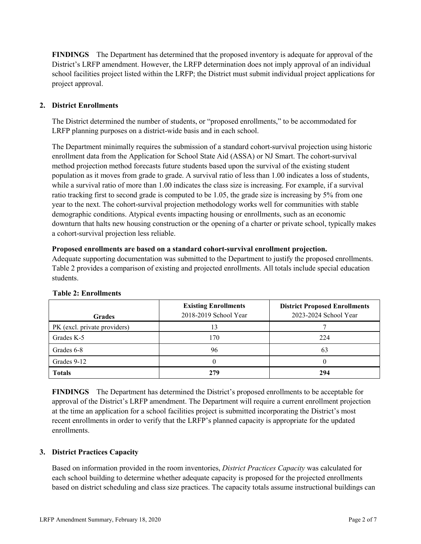**FINDINGS** The Department has determined that the proposed inventory is adequate for approval of the District's LRFP amendment. However, the LRFP determination does not imply approval of an individual school facilities project listed within the LRFP; the District must submit individual project applications for project approval.

# **2. District Enrollments**

The District determined the number of students, or "proposed enrollments," to be accommodated for LRFP planning purposes on a district-wide basis and in each school.

The Department minimally requires the submission of a standard cohort-survival projection using historic enrollment data from the Application for School State Aid (ASSA) or NJ Smart. The cohort-survival method projection method forecasts future students based upon the survival of the existing student population as it moves from grade to grade. A survival ratio of less than 1.00 indicates a loss of students, while a survival ratio of more than 1.00 indicates the class size is increasing. For example, if a survival ratio tracking first to second grade is computed to be 1.05, the grade size is increasing by 5% from one year to the next. The cohort-survival projection methodology works well for communities with stable demographic conditions. Atypical events impacting housing or enrollments, such as an economic downturn that halts new housing construction or the opening of a charter or private school, typically makes a cohort-survival projection less reliable.

#### **Proposed enrollments are based on a standard cohort-survival enrollment projection.**

Adequate supporting documentation was submitted to the Department to justify the proposed enrollments. Table 2 provides a comparison of existing and projected enrollments. All totals include special education students.

| <b>Grades</b>                | <b>Existing Enrollments</b><br>2018-2019 School Year | <b>District Proposed Enrollments</b><br>2023-2024 School Year |
|------------------------------|------------------------------------------------------|---------------------------------------------------------------|
| PK (excl. private providers) |                                                      |                                                               |
| Grades K-5                   | 170                                                  | 224                                                           |
| Grades 6-8                   | 96                                                   | 63                                                            |
| Grades 9-12                  |                                                      |                                                               |
| <b>Totals</b>                | 279                                                  | 294                                                           |

# **Table 2: Enrollments**

**FINDINGS** The Department has determined the District's proposed enrollments to be acceptable for approval of the District's LRFP amendment. The Department will require a current enrollment projection at the time an application for a school facilities project is submitted incorporating the District's most recent enrollments in order to verify that the LRFP's planned capacity is appropriate for the updated enrollments.

# **3. District Practices Capacity**

Based on information provided in the room inventories, *District Practices Capacity* was calculated for each school building to determine whether adequate capacity is proposed for the projected enrollments based on district scheduling and class size practices. The capacity totals assume instructional buildings can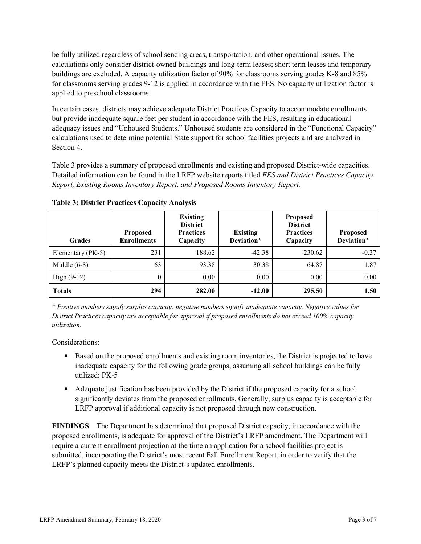be fully utilized regardless of school sending areas, transportation, and other operational issues. The calculations only consider district-owned buildings and long-term leases; short term leases and temporary buildings are excluded. A capacity utilization factor of 90% for classrooms serving grades K-8 and 85% for classrooms serving grades 9-12 is applied in accordance with the FES. No capacity utilization factor is applied to preschool classrooms.

In certain cases, districts may achieve adequate District Practices Capacity to accommodate enrollments but provide inadequate square feet per student in accordance with the FES, resulting in educational adequacy issues and "Unhoused Students." Unhoused students are considered in the "Functional Capacity" calculations used to determine potential State support for school facilities projects and are analyzed in Section 4.

Table 3 provides a summary of proposed enrollments and existing and proposed District-wide capacities. Detailed information can be found in the LRFP website reports titled *FES and District Practices Capacity Report, Existing Rooms Inventory Report, and Proposed Rooms Inventory Report.*

| <b>Grades</b>     | <b>Proposed</b><br><b>Enrollments</b> | <b>Existing</b><br><b>District</b><br><b>Practices</b><br>Capacity | <b>Existing</b><br>Deviation* | <b>Proposed</b><br><b>District</b><br><b>Practices</b><br>Capacity | Proposed<br>Deviation* |
|-------------------|---------------------------------------|--------------------------------------------------------------------|-------------------------------|--------------------------------------------------------------------|------------------------|
| Elementary (PK-5) | 231                                   | 188.62                                                             | $-42.38$                      | 230.62                                                             | $-0.37$                |
| Middle $(6-8)$    | 63                                    | 93.38                                                              | 30.38                         | 64.87                                                              | 1.87                   |
| High $(9-12)$     | $\theta$                              | 0.00                                                               | 0.00                          | 0.00                                                               | 0.00                   |
| <b>Totals</b>     | 294                                   | 282.00                                                             | $-12.00$                      | 295.50                                                             | 1.50                   |

**Table 3: District Practices Capacity Analysis**

*\* Positive numbers signify surplus capacity; negative numbers signify inadequate capacity. Negative values for District Practices capacity are acceptable for approval if proposed enrollments do not exceed 100% capacity utilization.*

Considerations:

- **Based on the proposed enrollments and existing room inventories, the District is projected to have** inadequate capacity for the following grade groups, assuming all school buildings can be fully utilized: PK-5
- Adequate justification has been provided by the District if the proposed capacity for a school significantly deviates from the proposed enrollments. Generally, surplus capacity is acceptable for LRFP approval if additional capacity is not proposed through new construction.

**FINDINGS**The Department has determined that proposed District capacity, in accordance with the proposed enrollments, is adequate for approval of the District's LRFP amendment. The Department will require a current enrollment projection at the time an application for a school facilities project is submitted, incorporating the District's most recent Fall Enrollment Report, in order to verify that the LRFP's planned capacity meets the District's updated enrollments.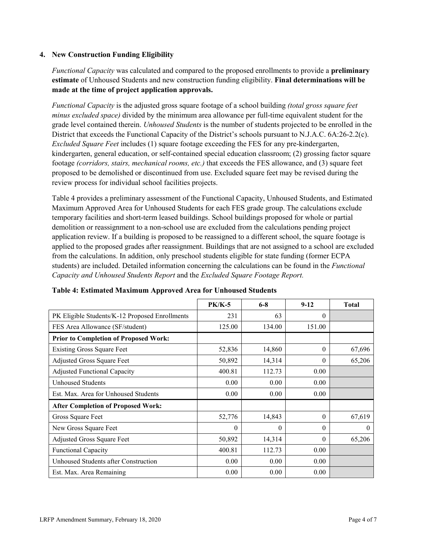#### **4. New Construction Funding Eligibility**

*Functional Capacity* was calculated and compared to the proposed enrollments to provide a **preliminary estimate** of Unhoused Students and new construction funding eligibility. **Final determinations will be made at the time of project application approvals.**

*Functional Capacity* is the adjusted gross square footage of a school building *(total gross square feet minus excluded space)* divided by the minimum area allowance per full-time equivalent student for the grade level contained therein. *Unhoused Students* is the number of students projected to be enrolled in the District that exceeds the Functional Capacity of the District's schools pursuant to N.J.A.C. 6A:26-2.2(c). *Excluded Square Feet* includes (1) square footage exceeding the FES for any pre-kindergarten, kindergarten, general education, or self-contained special education classroom; (2) grossing factor square footage *(corridors, stairs, mechanical rooms, etc.)* that exceeds the FES allowance, and (3) square feet proposed to be demolished or discontinued from use. Excluded square feet may be revised during the review process for individual school facilities projects.

Table 4 provides a preliminary assessment of the Functional Capacity, Unhoused Students, and Estimated Maximum Approved Area for Unhoused Students for each FES grade group. The calculations exclude temporary facilities and short-term leased buildings. School buildings proposed for whole or partial demolition or reassignment to a non-school use are excluded from the calculations pending project application review. If a building is proposed to be reassigned to a different school, the square footage is applied to the proposed grades after reassignment. Buildings that are not assigned to a school are excluded from the calculations. In addition, only preschool students eligible for state funding (former ECPA students) are included. Detailed information concerning the calculations can be found in the *Functional Capacity and Unhoused Students Report* and the *Excluded Square Footage Report.*

|                                                | <b>PK/K-5</b> | $6 - 8$  | $9 - 12$ | <b>Total</b> |
|------------------------------------------------|---------------|----------|----------|--------------|
| PK Eligible Students/K-12 Proposed Enrollments | 231           | 63       | $\theta$ |              |
| FES Area Allowance (SF/student)                | 125.00        | 134.00   | 151.00   |              |
| <b>Prior to Completion of Proposed Work:</b>   |               |          |          |              |
| <b>Existing Gross Square Feet</b>              | 52,836        | 14,860   | $\theta$ | 67,696       |
| Adjusted Gross Square Feet                     | 50,892        | 14,314   | $\theta$ | 65,206       |
| <b>Adjusted Functional Capacity</b>            | 400.81        | 112.73   | 0.00     |              |
| <b>Unhoused Students</b>                       | 0.00          | 0.00     | 0.00     |              |
| Est. Max. Area for Unhoused Students           | 0.00          | 0.00     | 0.00     |              |
| <b>After Completion of Proposed Work:</b>      |               |          |          |              |
| Gross Square Feet                              | 52,776        | 14,843   | $\theta$ | 67,619       |
| New Gross Square Feet                          | $\theta$      | $\theta$ | $\Omega$ | $\theta$     |
| Adjusted Gross Square Feet                     | 50,892        | 14,314   | $\Omega$ | 65,206       |
| <b>Functional Capacity</b>                     | 400.81        | 112.73   | 0.00     |              |
| Unhoused Students after Construction           | 0.00          | 0.00     | 0.00     |              |
| Est. Max. Area Remaining                       | 0.00          | 0.00     | 0.00     |              |

**Table 4: Estimated Maximum Approved Area for Unhoused Students**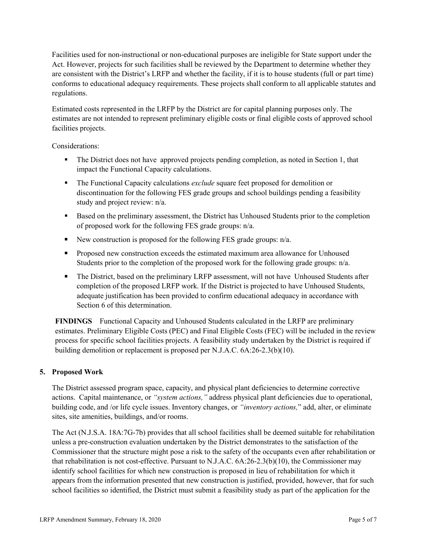Facilities used for non-instructional or non-educational purposes are ineligible for State support under the Act. However, projects for such facilities shall be reviewed by the Department to determine whether they are consistent with the District's LRFP and whether the facility, if it is to house students (full or part time) conforms to educational adequacy requirements. These projects shall conform to all applicable statutes and regulations.

Estimated costs represented in the LRFP by the District are for capital planning purposes only. The estimates are not intended to represent preliminary eligible costs or final eligible costs of approved school facilities projects.

Considerations:

- The District does not have approved projects pending completion, as noted in Section 1, that impact the Functional Capacity calculations.
- The Functional Capacity calculations *exclude* square feet proposed for demolition or discontinuation for the following FES grade groups and school buildings pending a feasibility study and project review: n/a.
- Based on the preliminary assessment, the District has Unhoused Students prior to the completion of proposed work for the following FES grade groups: n/a.
- New construction is proposed for the following FES grade groups:  $n/a$ .
- **Proposed new construction exceeds the estimated maximum area allowance for Unhoused** Students prior to the completion of the proposed work for the following grade groups: n/a.
- The District, based on the preliminary LRFP assessment, will not have Unhoused Students after completion of the proposed LRFP work. If the District is projected to have Unhoused Students, adequate justification has been provided to confirm educational adequacy in accordance with Section 6 of this determination.

**FINDINGS** Functional Capacity and Unhoused Students calculated in the LRFP are preliminary estimates. Preliminary Eligible Costs (PEC) and Final Eligible Costs (FEC) will be included in the review process for specific school facilities projects. A feasibility study undertaken by the District is required if building demolition or replacement is proposed per N.J.A.C. 6A:26-2.3(b)(10).

# **5. Proposed Work**

The District assessed program space, capacity, and physical plant deficiencies to determine corrective actions. Capital maintenance, or *"system actions,"* address physical plant deficiencies due to operational, building code, and /or life cycle issues. Inventory changes, or *"inventory actions,*" add, alter, or eliminate sites, site amenities, buildings, and/or rooms.

The Act (N.J.S.A. 18A:7G-7b) provides that all school facilities shall be deemed suitable for rehabilitation unless a pre-construction evaluation undertaken by the District demonstrates to the satisfaction of the Commissioner that the structure might pose a risk to the safety of the occupants even after rehabilitation or that rehabilitation is not cost-effective. Pursuant to N.J.A.C. 6A:26-2.3(b)(10), the Commissioner may identify school facilities for which new construction is proposed in lieu of rehabilitation for which it appears from the information presented that new construction is justified, provided, however, that for such school facilities so identified, the District must submit a feasibility study as part of the application for the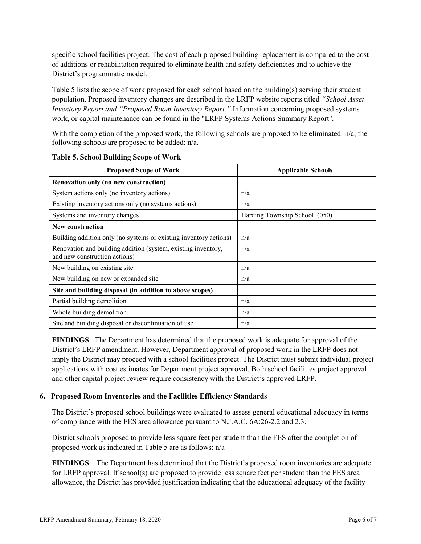specific school facilities project. The cost of each proposed building replacement is compared to the cost of additions or rehabilitation required to eliminate health and safety deficiencies and to achieve the District's programmatic model.

Table 5 lists the scope of work proposed for each school based on the building(s) serving their student population. Proposed inventory changes are described in the LRFP website reports titled *"School Asset Inventory Report and "Proposed Room Inventory Report."* Information concerning proposed systems work, or capital maintenance can be found in the "LRFP Systems Actions Summary Report".

With the completion of the proposed work, the following schools are proposed to be eliminated: n/a; the following schools are proposed to be added: n/a.

| <b>Proposed Scope of Work</b>                                                                  | <b>Applicable Schools</b>     |
|------------------------------------------------------------------------------------------------|-------------------------------|
| Renovation only (no new construction)                                                          |                               |
| System actions only (no inventory actions)                                                     | n/a                           |
| Existing inventory actions only (no systems actions)                                           | n/a                           |
| Systems and inventory changes                                                                  | Harding Township School (050) |
| <b>New construction</b>                                                                        |                               |
| Building addition only (no systems or existing inventory actions)                              | n/a                           |
| Renovation and building addition (system, existing inventory,<br>and new construction actions) | n/a                           |
| New building on existing site                                                                  | n/a                           |
| New building on new or expanded site                                                           | n/a                           |
| Site and building disposal (in addition to above scopes)                                       |                               |
| Partial building demolition                                                                    | n/a                           |
| Whole building demolition                                                                      | n/a                           |
| Site and building disposal or discontinuation of use                                           | n/a                           |

|  | <b>Table 5. School Building Scope of Work</b> |  |  |
|--|-----------------------------------------------|--|--|
|  |                                               |  |  |

**FINDINGS** The Department has determined that the proposed work is adequate for approval of the District's LRFP amendment. However, Department approval of proposed work in the LRFP does not imply the District may proceed with a school facilities project. The District must submit individual project applications with cost estimates for Department project approval. Both school facilities project approval and other capital project review require consistency with the District's approved LRFP.

# **6. Proposed Room Inventories and the Facilities Efficiency Standards**

The District's proposed school buildings were evaluated to assess general educational adequacy in terms of compliance with the FES area allowance pursuant to N.J.A.C. 6A:26-2.2 and 2.3.

District schools proposed to provide less square feet per student than the FES after the completion of proposed work as indicated in Table 5 are as follows: n/a

**FINDINGS** The Department has determined that the District's proposed room inventories are adequate for LRFP approval. If school(s) are proposed to provide less square feet per student than the FES area allowance, the District has provided justification indicating that the educational adequacy of the facility